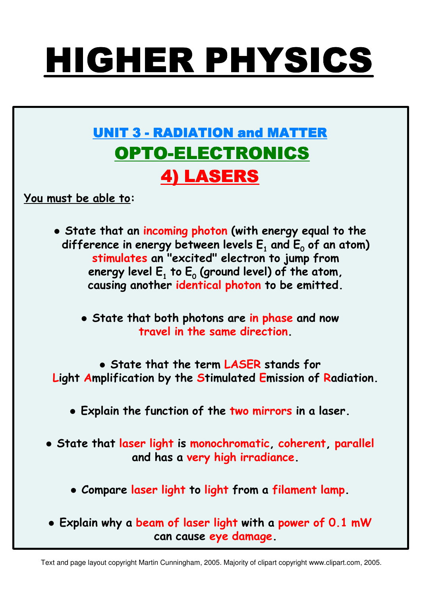# **HIGHER PHYSICS**

## **UNIT 3 - RADIATION and MATTER OPTO-ELECTRONICS 4) LASERS**

You must be able to:

- State that an incoming photon (with energy equal to the difference in energy between levels  $E_1$  and  $E_0$  of an atom) stimulates an "excited" electron to jump from energy level  $E_1$  to  $E_0$  (ground level) of the atom, causing another identical photon to be emitted.
	- State that both photons are in phase and now travel in the same direction
- State that the term LASER stands for Light Amplification by the Stimulated Emission of Radiation.
	- . Explain the function of the two mirrors in a laser.
- State that laser light is monochromatic, coherent, parallel and has a very high irradiance.
	- Compare laser light to light from a filament lamp.
- . Explain why a beam of laser light with a power of 0.1 mW can cause eye damage.

Text and page layout copyright Martin Cunningham, 2005. Majority of clipart copyright www.clipart.com, 2005.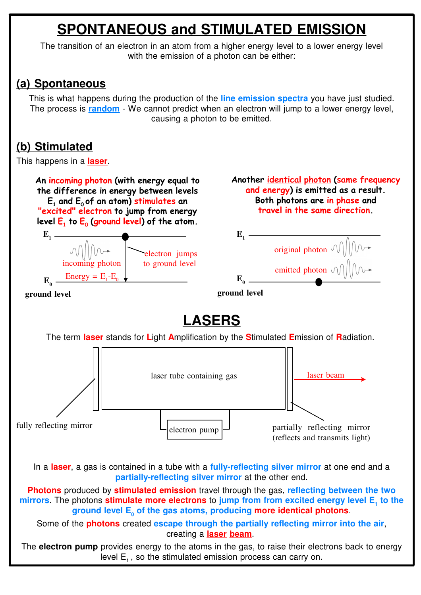## **SPONTANEOUS and STIMULATED EMISSION**

The transition of an electron in an atom from a higher energy level to a lower energy level with the emission of a photon can be either:

#### **(a) Spontaneous**

This is what happens during the production of the **line emission spectra** you have just studied. The process is **random** - We cannot predict when an electron will jump to a lower energy level, causing a photon to be emitted.

#### **(b) Stimulated**

This happens in a **laser**.

An incoming photon (with energy equal to the difference in energy between levels  $E_1$  and  $E_0$  of an atom) stimulates an "excited" electron to jump from energy level  $E_1$  to  $E_0$  (ground level) of the atom.

Another identical photon (same frequency and energy) is emitted as a result. Both photons are in phase and travel in the same direction.



### **LASERS**

The term **laser** stands for **L**ight **A**mplification by the **S**timulated **E**mission of **R**adiation.



In a **laser**, a gas is contained in a tube with a **fully-reflecting silver mirror** at one end and a **partially-reflecting silver mirror** at the other end.

**Photons** produced by **stimulated emission** travel through the gas, **reflecting between the two mirrors**. The photons **stimulate more electrons** to jump from from excited energy level E, to the **ground level E0 of the gas atoms, producing more identical photons**.

Some of the **photons** created **escape through the partially reflecting mirror into the air**, creating a **laser beam**.

The **electron pump** provides energy to the atoms in the gas, to raise their electrons back to energy level  $E_1$ , so the stimulated emission process can carry on.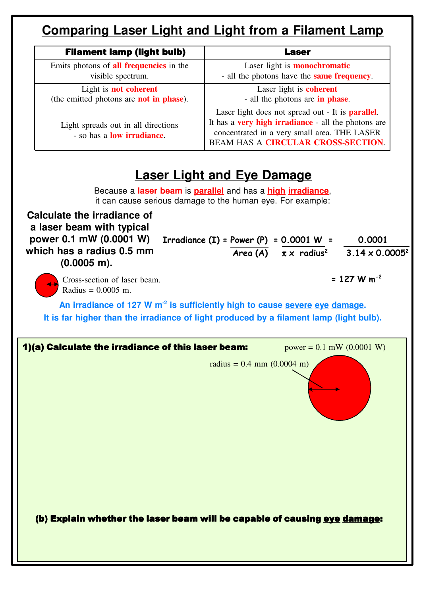#### **Comparing Laser Light and Light from a Filament Lamp**

| <b>Filament lamp (light bulb)</b>                                         | Laser                                                                                                                                                                                                  |
|---------------------------------------------------------------------------|--------------------------------------------------------------------------------------------------------------------------------------------------------------------------------------------------------|
| Emits photons of <b>all frequencies</b> in the                            | Laser light is <b>monochromatic</b>                                                                                                                                                                    |
| visible spectrum.                                                         | - all the photons have the <b>same frequency</b> .                                                                                                                                                     |
| Light is <b>not coherent</b>                                              | Laser light is <b>coherent</b>                                                                                                                                                                         |
| (the emitted photons are <b>not in phase</b> ).                           | - all the photons are <b>in phase</b> .                                                                                                                                                                |
| Light spreads out in all directions<br>- so has a <b>low irradiance</b> . | Laser light does not spread out - It is <b>parallel</b> .<br>It has a very high irradiance - all the photons are<br>concentrated in a very small area. THE LASER<br>BEAM HAS A CIRCULAR CROSS-SECTION. |

#### **Laser Light and Eye Damage**

Because a **laser beam** is **parallel** and has a **high irradiance**, it can cause serious damage to the human eye. For example:

**Calculate the irradiance of a laser beam with typical power 0.1 mW (0.0001 W) which has a radius 0.5 mm (0.0005 m).** Irradiance  $(I)$  = Power  $(P)$  = 0.0001 W = 0.0001  $Area (A)$   $\pi \times$  radius<sup>2</sup> 3.14 x 0.0005<sup>2</sup> Cross-section of laser beam.  $= 127 W m^{-2}$ Radius = 0.0005 m.

**An irradiance of 127 W m-2 is sufficiently high to cause severe eye damage. It is far higher than the irradiance of light produced by a filament lamp (light bulb).**

| 1)(a) Calculate the irradiance of this laser beam:                        | $power = 0.1$ mW $(0.0001$ W) |
|---------------------------------------------------------------------------|-------------------------------|
| radius = $0.4$ mm $(0.0004$ m)                                            |                               |
| (b) Explain whether the laser beam will be capable of causing eye damage: |                               |